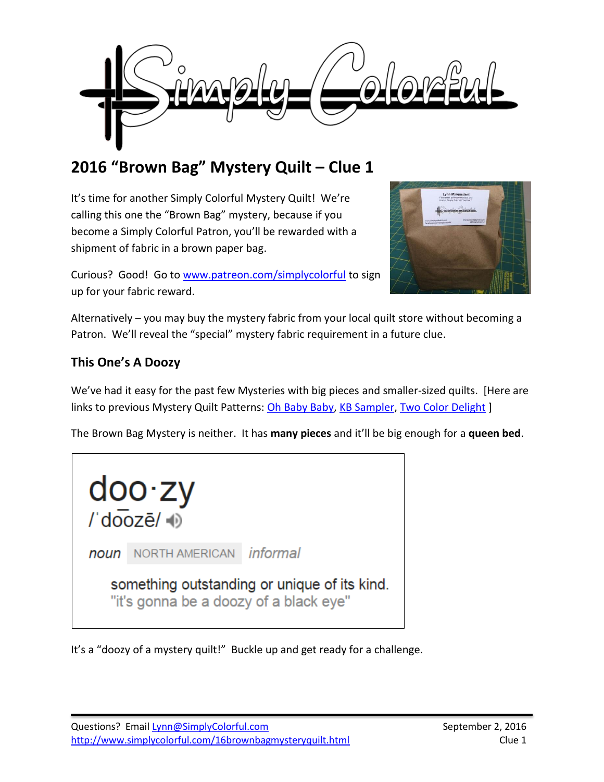

# **2016 "Brown Bag" Mystery Quilt – Clue 1**

It's time for another Simply Colorful Mystery Quilt! We're calling this one the "Brown Bag" mystery, because if you become a Simply Colorful Patron, you'll be rewarded with a shipment of fabric in a brown paper bag.



Curious? Good! Go to [www.patreon.com/simplycolorful](http://www.patreon.com/simplycolorful) to sign up for your fabric reward.

Alternatively – you may buy the mystery fabric from your local quilt store without becoming a Patron. We'll reveal the "special" mystery fabric requirement in a future clue.

# **This One's A Doozy**

We've had it easy for the past few Mysteries with big pieces and smaller-sized quilts. [Here are links to previous Mystery Quilt Patterns: [Oh Baby Baby,](http://www.simplycolorful.com/16mqohbabybaby.html) [KB Sampler,](http://www.simplycolorful.com/15samplerquiltalong.html) [Two Color Delight](http://www.simplycolorful.com/15mqtwocolordelight.html) ]

The Brown Bag Mystery is neither. It has **many pieces** and it'll be big enough for a **queen bed**.



It's a "doozy of a mystery quilt!" Buckle up and get ready for a challenge.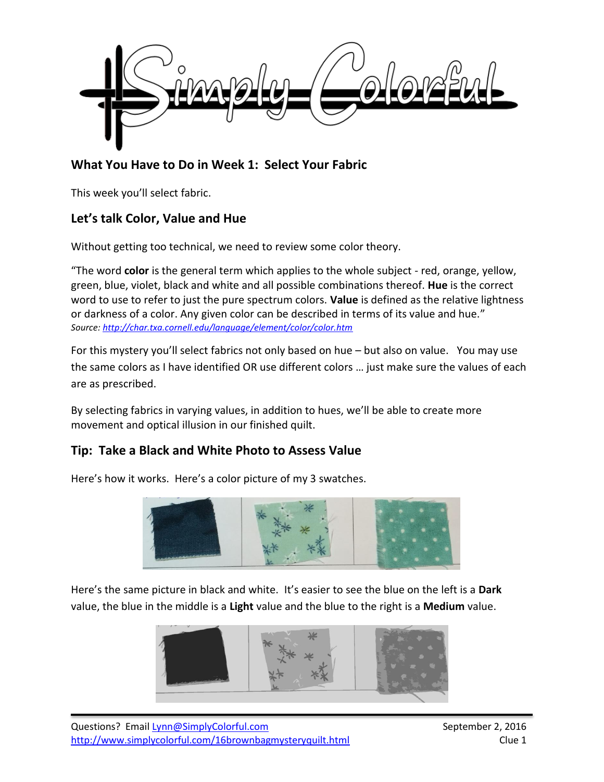

# **What You Have to Do in Week 1: Select Your Fabric**

This week you'll select fabric.

## **Let's talk Color, Value and Hue**

Without getting too technical, we need to review some color theory.

"The word **color** is the general term which applies to the whole subject - red, orange, yellow, green, blue, violet, black and white and all possible combinations thereof. **Hue** is the correct word to use to refer to just the pure spectrum colors. **Value** is defined as the relative lightness or darkness of a color. Any given color can be described in terms of its value and hue." *Source:<http://char.txa.cornell.edu/language/element/color/color.htm>*

For this mystery you'll select fabrics not only based on hue – but also on value. You may use the same colors as I have identified OR use different colors … just make sure the values of each are as prescribed.

By selecting fabrics in varying values, in addition to hues, we'll be able to create more movement and optical illusion in our finished quilt.

## **Tip: Take a Black and White Photo to Assess Value**

Here's how it works. Here's a color picture of my 3 swatches.



Here's the same picture in black and white. It's easier to see the blue on the left is a **Dark**  value, the blue in the middle is a **Light** value and the blue to the right is a **Medium** value.

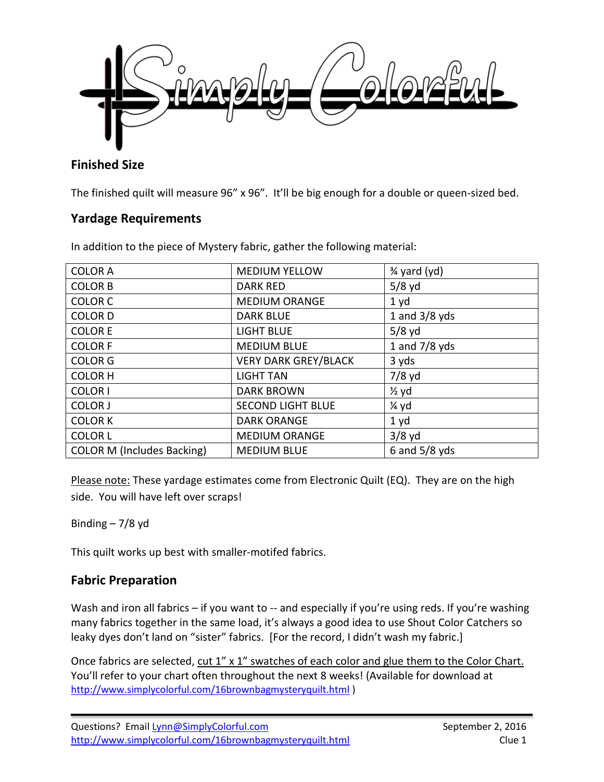

# **Finished Size**

The finished quilt will measure 96" x 96". It'll be big enough for a double or queen-sized bed.

#### **Yardage Requirements**

In addition to the piece of Mystery fabric, gather the following material:

| <b>COLOR A</b>                    | <b>MEDIUM YELLOW</b>        | 3⁄4 yard (yd)    |
|-----------------------------------|-----------------------------|------------------|
| <b>COLOR B</b>                    | <b>DARK RED</b>             | $5/8$ yd         |
| <b>COLOR C</b>                    | <b>MEDIUM ORANGE</b>        | 1 yd             |
| <b>COLOR D</b>                    | <b>DARK BLUE</b>            | 1 and $3/8$ yds  |
| <b>COLOR E</b>                    | <b>LIGHT BLUE</b>           | $5/8$ yd         |
| <b>COLOR F</b>                    | <b>MEDIUM BLUE</b>          | 1 and $7/8$ yds  |
| <b>COLOR G</b>                    | <b>VERY DARK GREY/BLACK</b> | 3 yds            |
| <b>COLOR H</b>                    | <b>LIGHT TAN</b>            | $7/8$ yd         |
| <b>COLOR I</b>                    | <b>DARK BROWN</b>           | $\frac{1}{2}$ yd |
| <b>COLOR J</b>                    | <b>SECOND LIGHT BLUE</b>    | 1⁄4 yd           |
| <b>COLOR K</b>                    | <b>DARK ORANGE</b>          | 1 <sub>yd</sub>  |
| <b>COLOR L</b>                    | <b>MEDIUM ORANGE</b>        | $3/8$ yd         |
| <b>COLOR M (Includes Backing)</b> | <b>MEDIUM BLUE</b>          | 6 and $5/8$ yds  |

Please note: These yardage estimates come from Electronic Quilt (EQ). They are on the high side. You will have left over scraps!

Binding  $-7/8$  yd

This quilt works up best with smaller-motifed fabrics.

## **Fabric Preparation**

Wash and iron all fabrics – if you want to -- and especially if you're using reds. If you're washing many fabrics together in the same load, it's always a good idea to use Shout Color Catchers so leaky dyes don't land on "sister" fabrics. [For the record, I didn't wash my fabric.]

Once fabrics are selected, cut 1" x 1" swatches of each color and glue them to the Color Chart. You'll refer to your chart often throughout the next 8 weeks! (Available for download at http://www.simplycolorful.com/16brownbagmysteryquilt.html )